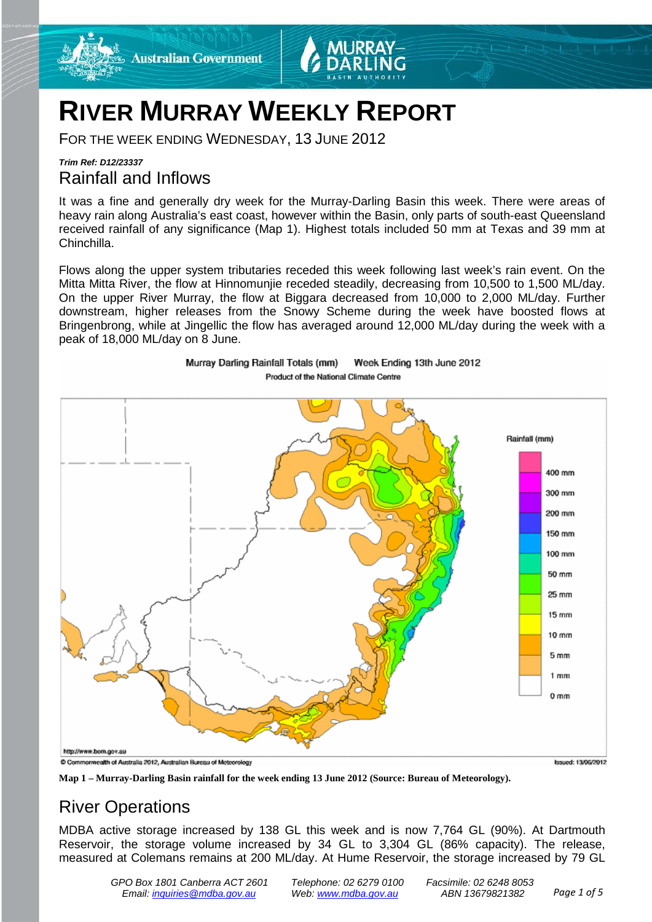

# **RIVER MURRAY WEEKLY REPORT**

Murray Darling Rainfall Totals (mm)

FOR THE WEEK ENDING WEDNESDAY, 13 JUNE 2012

# *Trim Ref: D12/23337* Rainfall and Inflows

It was a fine and generally dry week for the Murray-Darling Basin this week. There were areas of heavy rain along Australia's east coast, however within the Basin, only parts of south-east Queensland received rainfall of any significance (Map 1). Highest totals included 50 mm at Texas and 39 mm at Chinchilla.

Flows along the upper system tributaries receded this week following last week's rain event. On the Mitta Mitta River, the flow at Hinnomunjie receded steadily, decreasing from 10,500 to 1,500 ML/day. On the upper River Murray, the flow at Biggara decreased from 10,000 to 2,000 ML/day. Further downstream, higher releases from the Snowy Scheme during the week have boosted flows at Bringenbrong, while at Jingellic the flow has averaged around 12,000 ML/day during the week with a peak of 18,000 ML/day on 8 June.

Week Ending 13th June 2012



**Map 1 – Murray-Darling Basin rainfall for the week ending 13 June 2012 (Source: Bureau of Meteorology).**

# River Operations

MDBA active storage increased by 138 GL this week and is now 7,764 GL (90%). At Dartmouth Reservoir, the storage volume increased by 34 GL to 3,304 GL (86% capacity). The release, measured at Colemans remains at 200 ML/day. At Hume Reservoir, the storage increased by 79 GL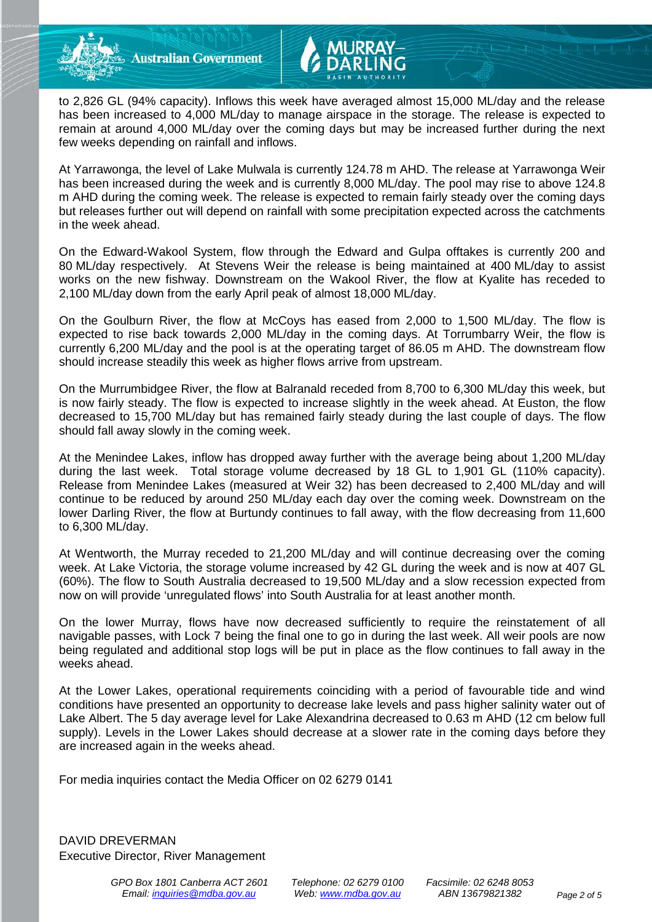**Australian Government** 

to 2,826 GL (94% capacity). Inflows this week have averaged almost 15,000 ML/day and the release has been increased to 4,000 ML/day to manage airspace in the storage. The release is expected to remain at around 4,000 ML/day over the coming days but may be increased further during the next few weeks depending on rainfall and inflows.

At Yarrawonga, the level of Lake Mulwala is currently 124.78 m AHD. The release at Yarrawonga Weir has been increased during the week and is currently 8,000 ML/day. The pool may rise to above 124.8 m AHD during the coming week. The release is expected to remain fairly steady over the coming days but releases further out will depend on rainfall with some precipitation expected across the catchments in the week ahead.

On the Edward-Wakool System, flow through the Edward and Gulpa offtakes is currently 200 and 80 ML/day respectively. At Stevens Weir the release is being maintained at 400 ML/day to assist works on the new fishway. Downstream on the Wakool River, the flow at Kyalite has receded to 2,100 ML/day down from the early April peak of almost 18,000 ML/day.

On the Goulburn River, the flow at McCoys has eased from 2,000 to 1,500 ML/day. The flow is expected to rise back towards 2,000 ML/day in the coming days. At Torrumbarry Weir, the flow is currently 6,200 ML/day and the pool is at the operating target of 86.05 m AHD. The downstream flow should increase steadily this week as higher flows arrive from upstream.

On the Murrumbidgee River, the flow at Balranald receded from 8,700 to 6,300 ML/day this week, but is now fairly steady. The flow is expected to increase slightly in the week ahead. At Euston, the flow decreased to 15,700 ML/day but has remained fairly steady during the last couple of days. The flow should fall away slowly in the coming week.

At the Menindee Lakes, inflow has dropped away further with the average being about 1,200 ML/day during the last week. Total storage volume decreased by 18 GL to 1,901 GL (110% capacity). Release from Menindee Lakes (measured at Weir 32) has been decreased to 2,400 ML/day and will continue to be reduced by around 250 ML/day each day over the coming week. Downstream on the lower Darling River, the flow at Burtundy continues to fall away, with the flow decreasing from 11,600 to 6,300 ML/day.

At Wentworth, the Murray receded to 21,200 ML/day and will continue decreasing over the coming week. At Lake Victoria, the storage volume increased by 42 GL during the week and is now at 407 GL (60%). The flow to South Australia decreased to 19,500 ML/day and a slow recession expected from now on will provide 'unregulated flows' into South Australia for at least another month.

On the lower Murray, flows have now decreased sufficiently to require the reinstatement of all navigable passes, with Lock 7 being the final one to go in during the last week. All weir pools are now being regulated and additional stop logs will be put in place as the flow continues to fall away in the weeks ahead.

At the Lower Lakes, operational requirements coinciding with a period of favourable tide and wind conditions have presented an opportunity to decrease lake levels and pass higher salinity water out of Lake Albert. The 5 day average level for Lake Alexandrina decreased to 0.63 m AHD (12 cm below full supply). Levels in the Lower Lakes should decrease at a slower rate in the coming days before they are increased again in the weeks ahead.

For media inquiries contact the Media Officer on 02 6279 0141

DAVID DREVERMAN Executive Director, River Management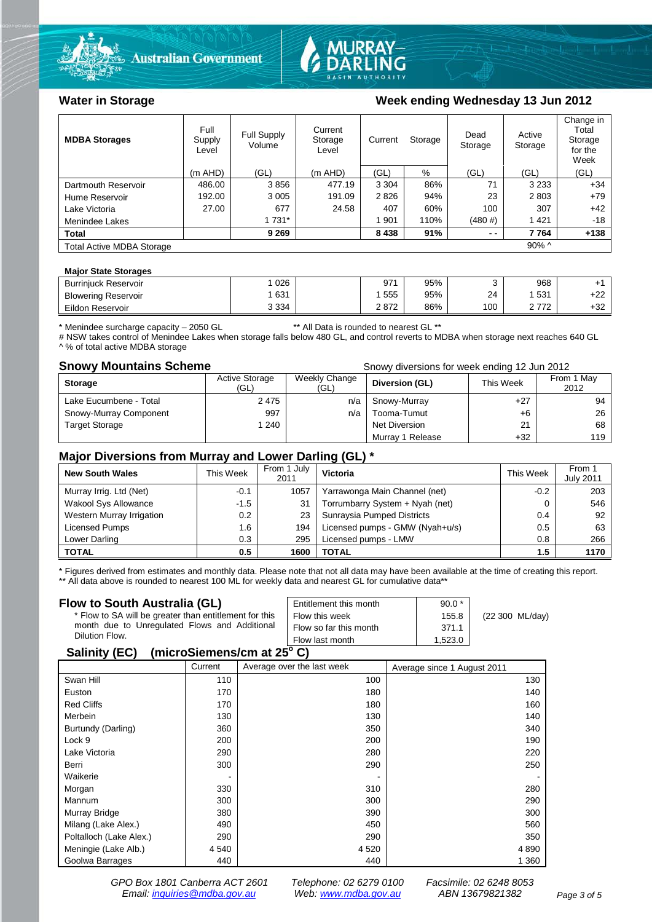



### Water in Storage Week ending Wednesday 13 Jun 2012

| <b>MDBA Storages</b>                         | Full<br>Supply<br>Level | <b>Full Supply</b><br>Volume | Current<br>Storage<br>Level | Storage<br>Current |      | Dead<br>Storage | Active<br>Storage | Change in<br>Total<br>Storage<br>for the<br>Week |
|----------------------------------------------|-------------------------|------------------------------|-----------------------------|--------------------|------|-----------------|-------------------|--------------------------------------------------|
|                                              | $(m$ AHD)               | (GL)                         | $(m$ AHD)                   | (GL)               | %    | (GL)            | (GL)              | (GL)                                             |
| Dartmouth Reservoir                          | 486.00                  | 3856                         | 477.19                      | 3 3 0 4            | 86%  | 71              | 3 2 3 3           | $+34$                                            |
| Hume Reservoir                               | 192.00                  | 3 0 0 5                      | 191.09                      | 2826               | 94%  | 23              | 2803              | $+79$                                            |
| Lake Victoria                                | 27.00                   | 677                          | 24.58                       | 407                | 60%  | 100             | 307               | $+42$                                            |
| Menindee Lakes                               |                         | 1 7 3 1 *                    |                             | 1 901              | 110% | (480#)          | 1421              | $-18$                                            |
| <b>Total</b>                                 |                         | 9 2 6 9                      |                             | 8438               | 91%  | $ -$            | 7764              | $+138$                                           |
| $90\%$ ^<br><b>Total Active MDBA Storage</b> |                         |                              |                             |                    |      |                 |                   |                                                  |

#### **Major State Storages**

| <b>Burriniuck Reservoir</b> | 026     | 971  | 95% |     | 968 |            |
|-----------------------------|---------|------|-----|-----|-----|------------|
| <b>Blowering Reservoir</b>  | 631     | 555  | 95% | 24  | 531 | .22<br>+22 |
| Eildon Reservoir            | 3 3 3 4 | 2872 | 86% | 100 | 770 | $+32$      |

\* Menindee surcharge capacity – 2050 GL \*\* All Data is rounded to nearest GL \*\*

# NSW takes control of Menindee Lakes when storage falls below 480 GL, and control reverts to MDBA when storage next reaches 640 GL ^ % of total active MDBA storage

**Snowy Mountains Scheme Snowy diversions for week ending 12 Jun 2012** 

| <b>Storage</b>         | <b>Active Storage</b><br>(GL) | Weekly Change<br>(GL) | Diversion (GL)   | This Week | From 1 May<br>2012 |
|------------------------|-------------------------------|-----------------------|------------------|-----------|--------------------|
| Lake Eucumbene - Total | 2475                          | n/a                   | Snowy-Murray     | $+27$     | 94                 |
| Snowy-Murray Component | 997                           | n/a                   | Tooma-Tumut      | $+6$      | 26                 |
| <b>Target Storage</b>  | 1 240                         |                       | Net Diversion    | 21        | 68                 |
|                        |                               |                       | Murray 1 Release | $+32$     | 119                |

#### **Major Diversions from Murray and Lower Darling (GL) \***

| <b>New South Wales</b>    | This Week | From 1 July<br>2011 | Victoria                        | This Week | From 1<br><b>July 2011</b> |
|---------------------------|-----------|---------------------|---------------------------------|-----------|----------------------------|
| Murray Irrig. Ltd (Net)   | $-0.1$    | 1057                | Yarrawonga Main Channel (net)   | $-0.2$    | 203                        |
| Wakool Sys Allowance      | $-1.5$    | 31                  | Torrumbarry System + Nyah (net) |           | 546                        |
| Western Murray Irrigation | 0.2       | 23                  | Sunraysia Pumped Districts      | 0.4       | 92                         |
| Licensed Pumps            | 1.6       | 194                 | Licensed pumps - GMW (Nyah+u/s) | 0.5       | 63                         |
| Lower Darling             | 0.3       | 295                 | Licensed pumps - LMW            | 0.8       | 266                        |
| <b>TOTAL</b>              | 0.5       | 1600                | TOTAL                           | 1.5       | 1170                       |

\* Figures derived from estimates and monthly data. Please note that not all data may have been available at the time of creating this report. \*\* All data above is rounded to nearest 100 ML for weekly data and nearest GL for cumulative data\*\*

#### **Flow to South Australia (GL)**

| Flow to South Australia (GL)                           | Entitlement this month | $90.0*$ |                 |  |  |  |
|--------------------------------------------------------|------------------------|---------|-----------------|--|--|--|
| * Flow to SA will be greater than entitlement for this | Flow this week         | 155.8   | (22 300 ML/day) |  |  |  |
| month due to Unregulated Flows and Additional          | Flow so far this month | 371.1   |                 |  |  |  |
| Dilution Flow.                                         | Flow last month        | 1.523.0 |                 |  |  |  |
| 0.11100<br>1.1.1.01.01.01.01.01.01.00.01               |                        |         |                 |  |  |  |

#### **Salinity (EC) (microSiemens/cm at 25o C)**

|                         | Current | Average over the last week | Average since 1 August 2011 |
|-------------------------|---------|----------------------------|-----------------------------|
| Swan Hill               | 110     | 100                        | 130                         |
| Euston                  | 170     | 180                        | 140                         |
| <b>Red Cliffs</b>       | 170     | 180                        | 160                         |
| Merbein                 | 130     | 130                        | 140                         |
| Burtundy (Darling)      | 360     | 350                        | 340                         |
| Lock 9                  | 200     | 200                        | 190                         |
| Lake Victoria           | 290     | 280                        | 220                         |
| Berri                   | 300     | 290                        | 250                         |
| Waikerie                |         |                            |                             |
| Morgan                  | 330     | 310                        | 280                         |
| Mannum                  | 300     | 300                        | 290                         |
| Murray Bridge           | 380     | 390                        | 300                         |
| Milang (Lake Alex.)     | 490     | 450                        | 560                         |
| Poltalloch (Lake Alex.) | 290     | 290                        | 350                         |
| Meningie (Lake Alb.)    | 4 5 4 0 | 4 5 20                     | 4 8 9 0                     |
| Goolwa Barrages         | 440     | 440                        | 1 3 6 0                     |

*GPO Box 1801 Canberra ACT 2601 Telephone: 02 6279 0100 Facsimile: 02 6248 8053 Email: [inquiries@mdba.gov.au](mailto:inquiries@mdba.gov.au) Web: [www.mdba.gov.au](http://www.mdba.gov.au/) ABN 13679821382 Page 3 of 5*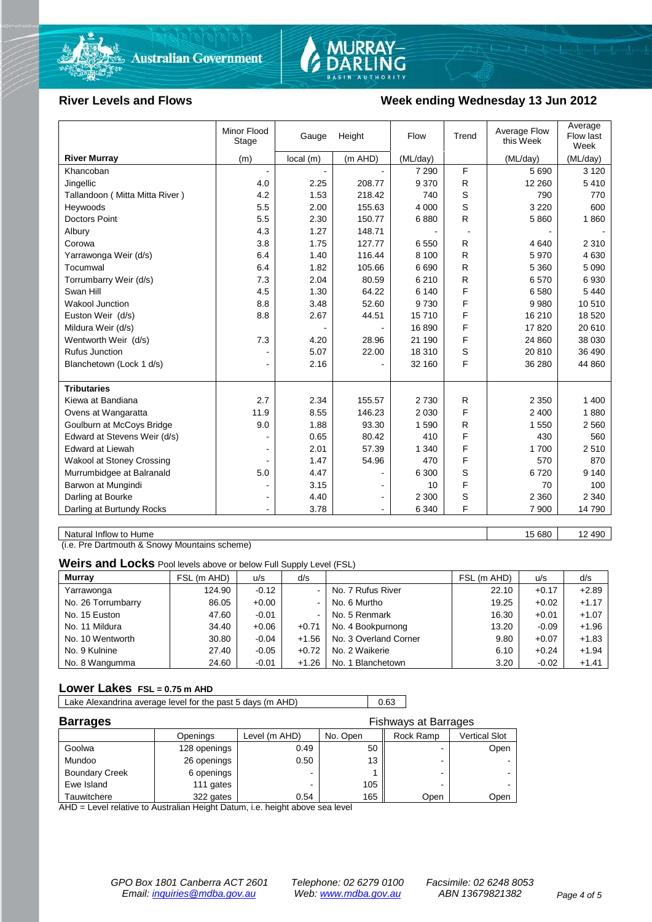



### River Levels and Flows **Week ending Wednesday 13 Jun 2012**

|                                  | Minor Flood<br>Stage | Gauge    | Height  | Flow     | Trend        | Average Flow<br>this Week | Average<br>Flow last<br>Week |
|----------------------------------|----------------------|----------|---------|----------|--------------|---------------------------|------------------------------|
| <b>River Murray</b>              | (m)                  | local(m) | (m AHD) | (ML/day) |              | (ML/day)                  | (ML/day)                     |
| Khancoban                        | $\blacksquare$       |          |         | 7 2 9 0  | F            | 5 6 9 0                   | 3 1 2 0                      |
| Jingellic                        | 4.0                  | 2.25     | 208.77  | 9 3 7 0  | $\mathsf{R}$ | 12 260                    | 5410                         |
| Tallandoon (Mitta Mitta River)   | 4.2                  | 1.53     | 218.42  | 740      | S            | 790                       | 770                          |
| Heywoods                         | 5.5                  | 2.00     | 155.63  | 4 0 0 0  | S            | 3 2 2 0                   | 600                          |
| Doctors Point                    | 5.5                  | 2.30     | 150.77  | 6880     | R            | 5860                      | 1860                         |
| Albury                           | 4.3                  | 1.27     | 148.71  |          |              |                           |                              |
| Corowa                           | 3.8                  | 1.75     | 127.77  | 6 5 5 0  | R            | 4640                      | 2 3 1 0                      |
| Yarrawonga Weir (d/s)            | 6.4                  | 1.40     | 116.44  | 8 100    | R            | 5970                      | 4 6 3 0                      |
| Tocumwal                         | 6.4                  | 1.82     | 105.66  | 6690     | R            | 5 3 6 0                   | 5 0 9 0                      |
| Torrumbarry Weir (d/s)           | 7.3                  | 2.04     | 80.59   | 6 2 1 0  | R            | 6570                      | 6930                         |
| Swan Hill                        | 4.5                  | 1.30     | 64.22   | 6 140    | F            | 6580                      | 5 4 4 0                      |
| Wakool Junction                  | 8.8                  | 3.48     | 52.60   | 9730     | F            | 9980                      | 10510                        |
| Euston Weir (d/s)                | 8.8                  | 2.67     | 44.51   | 15710    | F            | 16 210                    | 18 5 20                      |
| Mildura Weir (d/s)               |                      |          |         | 16890    | F            | 17820                     | 20 610                       |
| Wentworth Weir (d/s)             | 7.3                  | 4.20     | 28.96   | 21 190   | F            | 24 860                    | 38 030                       |
| <b>Rufus Junction</b>            |                      | 5.07     | 22.00   | 18 310   | S            | 20 810                    | 36 490                       |
| Blanchetown (Lock 1 d/s)         | $\blacksquare$       | 2.16     |         | 32 160   | F            | 36 280                    | 44 860                       |
|                                  |                      |          |         |          |              |                           |                              |
| <b>Tributaries</b>               |                      |          |         |          |              |                           |                              |
| Kiewa at Bandiana                | 2.7                  | 2.34     | 155.57  | 2730     | R            | 2 3 5 0                   | 1 400                        |
| Ovens at Wangaratta              | 11.9                 | 8.55     | 146.23  | 2 0 3 0  | F            | 2 4 0 0                   | 1880                         |
| Goulburn at McCoys Bridge        | 9.0                  | 1.88     | 93.30   | 1590     | R            | 1 550                     | 2 5 6 0                      |
| Edward at Stevens Weir (d/s)     |                      | 0.65     | 80.42   | 410      | F            | 430                       | 560                          |
| Edward at Liewah                 |                      | 2.01     | 57.39   | 1 3 4 0  | F            | 1700                      | 2510                         |
| <b>Wakool at Stoney Crossing</b> |                      | 1.47     | 54.96   | 470      | F            | 570                       | 870                          |
| Murrumbidgee at Balranald        | 5.0                  | 4.47     |         | 6 300    | S            | 6720                      | 9 1 4 0                      |
| Barwon at Mungindi               |                      | 3.15     |         | 10       | F            | 70                        | 100                          |
| Darling at Bourke                | ۰                    | 4.40     |         | 2 3 0 0  | S            | 2 3 6 0                   | 2 3 4 0                      |
| Darling at Burtundy Rocks        |                      | 3.78     |         | 6 3 4 0  | F            | 7 900                     | 14 790                       |

Natural Inflow to Hume 15 680 12 490

(i.e. Pre Dartmouth & Snowy Mountains scheme)

**Weirs and Locks** Pool levels above or below Full Supply Level (FSL)

| Murray             | FSL (m AHD) | u/s     | d/s            |                       | FSL (m AHD) | u/s     | d/s     |
|--------------------|-------------|---------|----------------|-----------------------|-------------|---------|---------|
| Yarrawonga         | 124.90      | $-0.12$ |                | No. 7 Rufus River     | 22.10       | $+0.17$ | $+2.89$ |
| No. 26 Torrumbarry | 86.05       | $+0.00$ | $\sim$         | No. 6 Murtho          | 19.25       | $+0.02$ | $+1.17$ |
| No. 15 Euston      | 47.60       | $-0.01$ | $\blacksquare$ | No. 5 Renmark         | 16.30       | $+0.01$ | $+1.07$ |
| No. 11 Mildura     | 34.40       | $+0.06$ | $+0.71$        | No. 4 Bookpurnong     | 13.20       | $-0.09$ | $+1.96$ |
| No. 10 Wentworth   | 30.80       | $-0.04$ | $+1.56$        | No. 3 Overland Corner | 9.80        | $+0.07$ | $+1.83$ |
| No. 9 Kulnine      | 27.40       | $-0.05$ | $+0.72$        | No. 2 Waikerie        | 6.10        | $+0.24$ | $+1.94$ |
| No. 8 Wangumma     | 24.60       | $-0.01$ | $+1.26$        | No. 1 Blanchetown     | 3.20        | $-0.02$ | $+1.41$ |

#### **Lower Lakes FSL = 0.75 m AHD**

Lake Alexandrina average level for the past 5 days (m AHD) 0.63

| <b>Barrages</b>       |              | <b>Fishways at Barrages</b> |          |                          |               |
|-----------------------|--------------|-----------------------------|----------|--------------------------|---------------|
|                       | Openings     | Level (m AHD)               | No. Open | Rock Ramp                | Vertical Slot |
| Goolwa                | 128 openings | 0.49                        | 50       | $\overline{\phantom{0}}$ | Open          |
| Mundoo                | 26 openings  | 0.50                        | 13       | -                        |               |
| <b>Boundary Creek</b> | 6 openings   |                             |          | -                        |               |
| Ewe Island            | 111 gates    |                             | 105      |                          |               |
| Tauwitchere           | 322 gates    | 0.54                        | 165      | Open                     | Open          |

AHD = Level relative to Australian Height Datum, i.e. height above sea level